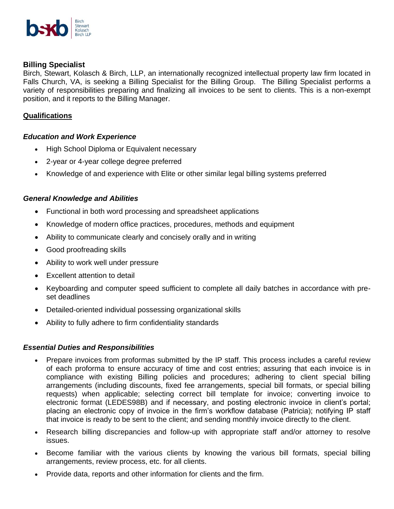

# **Billing Specialist**

Birch, Stewart, Kolasch & Birch, LLP, an internationally recognized intellectual property law firm located in Falls Church, VA, is seeking a Billing Specialist for the Billing Group. The Billing Specialist performs a variety of responsibilities preparing and finalizing all invoices to be sent to clients. This is a non-exempt position, and it reports to the Billing Manager.

## **Qualifications**

### *Education and Work Experience*

- High School Diploma or Equivalent necessary
- 2-year or 4-year college degree preferred
- Knowledge of and experience with Elite or other similar legal billing systems preferred

## *General Knowledge and Abilities*

- Functional in both word processing and spreadsheet applications
- Knowledge of modern office practices, procedures, methods and equipment
- Ability to communicate clearly and concisely orally and in writing
- Good proofreading skills
- Ability to work well under pressure
- Excellent attention to detail
- Keyboarding and computer speed sufficient to complete all daily batches in accordance with preset deadlines
- Detailed-oriented individual possessing organizational skills
- Ability to fully adhere to firm confidentiality standards

### *Essential Duties and Responsibilities*

- Prepare invoices from proformas submitted by the IP staff. This process includes a careful review of each proforma to ensure accuracy of time and cost entries; assuring that each invoice is in compliance with existing Billing policies and procedures; adhering to client special billing arrangements (including discounts, fixed fee arrangements, special bill formats, or special billing requests) when applicable; selecting correct bill template for invoice; converting invoice to electronic format (LEDES98B) and if necessary, and posting electronic invoice in client's portal; placing an electronic copy of invoice in the firm's workflow database (Patricia); notifying IP staff that invoice is ready to be sent to the client; and sending monthly invoice directly to the client.
- Research billing discrepancies and follow-up with appropriate staff and/or attorney to resolve issues.
- Become familiar with the various clients by knowing the various bill formats, special billing arrangements, review process, etc. for all clients.
- Provide data, reports and other information for clients and the firm.